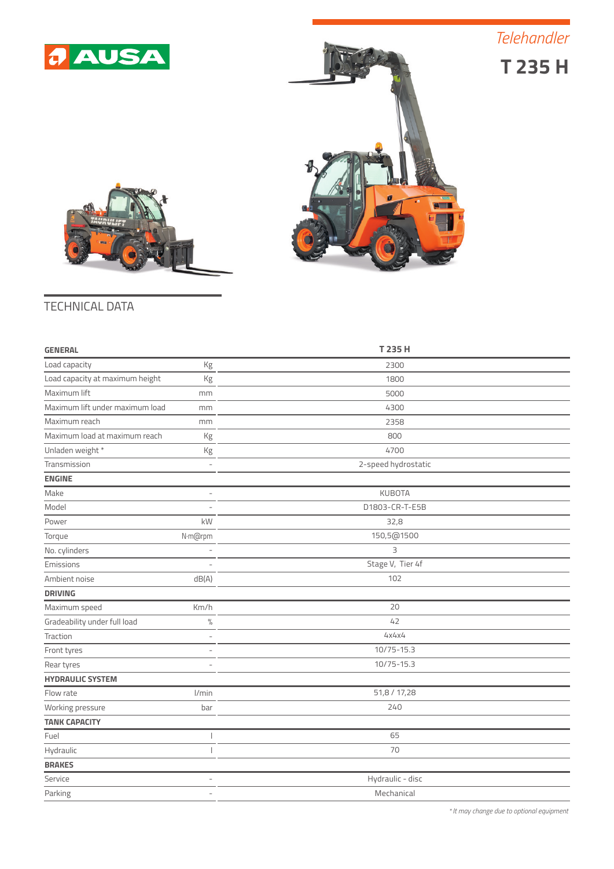

**T 235 H** *Telehandler*





## TECHNICAL DATA

| <b>GENERAL</b>                                          |                          | T 235 H             |
|---------------------------------------------------------|--------------------------|---------------------|
| Load capacity                                           | Kg                       | 2300                |
| Load capacity at maximum height                         | Kg                       | 1800                |
| Maximum lift<br>mm                                      |                          | 5000                |
| Maximum lift under maximum load<br>mm                   |                          | 4300                |
| Maximum reach                                           | mm                       | 2358                |
| Maximum load at maximum reach<br>Kg                     |                          | 800                 |
| Unladen weight *                                        | $\rm kg$                 | 4700                |
| Transmission                                            | $\overline{\phantom{a}}$ | 2-speed hydrostatic |
| <b>ENGINE</b>                                           |                          |                     |
| Make<br>÷.                                              |                          | <b>KUBOTA</b>       |
| Model                                                   | D1803-CR-T-E5B           |                     |
| Power                                                   | 32,8<br>kW               |                     |
| Torque                                                  | N·m@rpm                  | 150,5@1500          |
| No. cylinders                                           | J.                       | 3                   |
| Emissions                                               |                          | Stage V, Tier 4f    |
| Ambient noise                                           | dB(A)                    | 102                 |
| <b>DRIVING</b>                                          |                          |                     |
| Maximum speed                                           | Km/h                     | 20                  |
| Gradeability under full load                            | 42<br>$\%$               |                     |
| Traction<br>L.                                          |                          | 4x4x4               |
| Front tyres<br>$\overline{\phantom{a}}$                 |                          | 10/75-15.3          |
| Rear tyres                                              | 10/75-15.3               |                     |
| <b>HYDRAULIC SYSTEM</b>                                 |                          |                     |
| Flow rate                                               | l/min                    | 51,8 / 17,28        |
| Working pressure                                        | 240<br>bar               |                     |
| <b>TANK CAPACITY</b>                                    |                          |                     |
| Fuel                                                    |                          | 65                  |
| Hydraulic                                               |                          | 70                  |
| <b>BRAKES</b>                                           |                          |                     |
| Hydraulic - disc<br>Service<br>$\overline{\phantom{a}}$ |                          |                     |
| Parking                                                 |                          | Mechanical          |
|                                                         |                          |                     |

*\* It may change due to optional equipment*